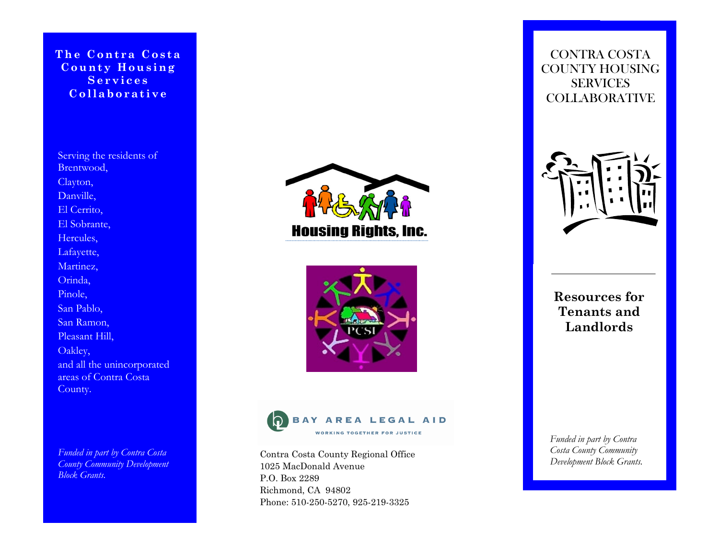The Contra Costa County Housing Services Collaborative

Serving the residents of Brentwood, Clayton, Danville, El Cerrito, El Sobrante, Hercules, Lafayette, Martinez, Orinda, Pinole, San Pablo, San Ramon, Pleasant Hill, Oakley, and all the unincorporated areas of Contra Costa County.

Funded in part by Contra Costa **County Community Development** Block Grants.







Contra Costa County Regional Office 1025 MacDonald Avenue P.O. Box 2289 Richmond, CA 94802 Phone: 510-250-5270, 925-219-3325

CONTRA COSTA COUNTY HOUSING **SERVICES** COLLABORATIVE



Resources for Tenants and Landlords

Funded in part by Contra Costa County Community Development Block Grants.